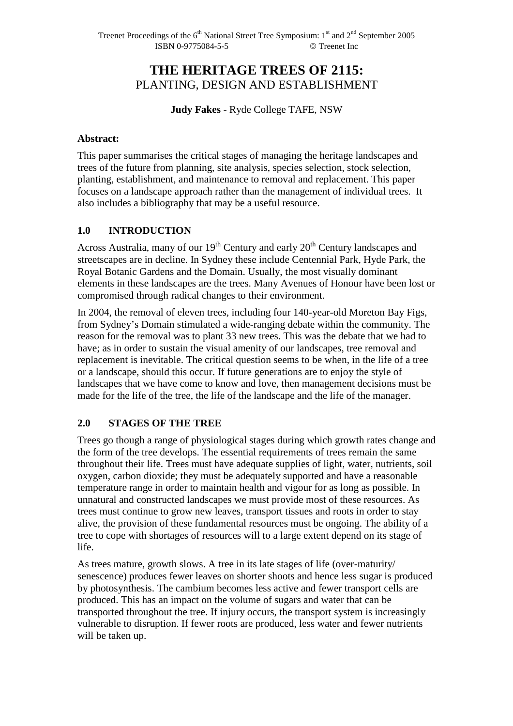# **THE HERITAGE TREES OF 2115:**  PLANTING, DESIGN AND ESTABLISHMENT

**Judy Fakes** - Ryde College TAFE, NSW

#### **Abstract:**

This paper summarises the critical stages of managing the heritage landscapes and trees of the future from planning, site analysis, species selection, stock selection, planting, establishment, and maintenance to removal and replacement. This paper focuses on a landscape approach rather than the management of individual trees. It also includes a bibliography that may be a useful resource.

#### **1.0 INTRODUCTION**

Across Australia, many of our  $19<sup>th</sup>$  Century and early  $20<sup>th</sup>$  Century landscapes and streetscapes are in decline. In Sydney these include Centennial Park, Hyde Park, the Royal Botanic Gardens and the Domain. Usually, the most visually dominant elements in these landscapes are the trees. Many Avenues of Honour have been lost or compromised through radical changes to their environment.

In 2004, the removal of eleven trees, including four 140-year-old Moreton Bay Figs, from Sydney's Domain stimulated a wide-ranging debate within the community. The reason for the removal was to plant 33 new trees. This was the debate that we had to have; as in order to sustain the visual amenity of our landscapes, tree removal and replacement is inevitable. The critical question seems to be when, in the life of a tree or a landscape, should this occur. If future generations are to enjoy the style of landscapes that we have come to know and love, then management decisions must be made for the life of the tree, the life of the landscape and the life of the manager.

#### **2.0 STAGES OF THE TREE**

Trees go though a range of physiological stages during which growth rates change and the form of the tree develops. The essential requirements of trees remain the same throughout their life. Trees must have adequate supplies of light, water, nutrients, soil oxygen, carbon dioxide; they must be adequately supported and have a reasonable temperature range in order to maintain health and vigour for as long as possible. In unnatural and constructed landscapes we must provide most of these resources. As trees must continue to grow new leaves, transport tissues and roots in order to stay alive, the provision of these fundamental resources must be ongoing. The ability of a tree to cope with shortages of resources will to a large extent depend on its stage of life.

As trees mature, growth slows. A tree in its late stages of life (over-maturity/ senescence) produces fewer leaves on shorter shoots and hence less sugar is produced by photosynthesis. The cambium becomes less active and fewer transport cells are produced. This has an impact on the volume of sugars and water that can be transported throughout the tree. If injury occurs, the transport system is increasingly vulnerable to disruption. If fewer roots are produced, less water and fewer nutrients will be taken up.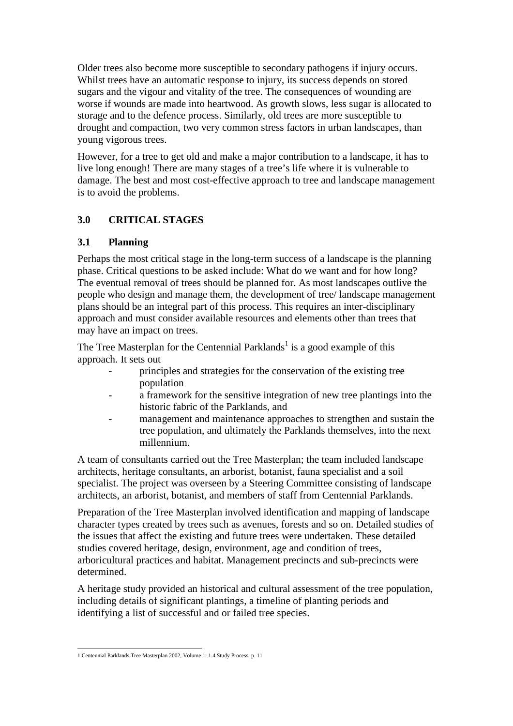Older trees also become more susceptible to secondary pathogens if injury occurs. Whilst trees have an automatic response to injury, its success depends on stored sugars and the vigour and vitality of the tree. The consequences of wounding are worse if wounds are made into heartwood. As growth slows, less sugar is allocated to storage and to the defence process. Similarly, old trees are more susceptible to drought and compaction, two very common stress factors in urban landscapes, than young vigorous trees.

However, for a tree to get old and make a major contribution to a landscape, it has to live long enough! There are many stages of a tree's life where it is vulnerable to damage. The best and most cost-effective approach to tree and landscape management is to avoid the problems.

# **3.0 CRITICAL STAGES**

## **3.1 Planning**

Perhaps the most critical stage in the long-term success of a landscape is the planning phase. Critical questions to be asked include: What do we want and for how long? The eventual removal of trees should be planned for. As most landscapes outlive the people who design and manage them, the development of tree/ landscape management plans should be an integral part of this process. This requires an inter-disciplinary approach and must consider available resources and elements other than trees that may have an impact on trees.

The Tree Masterplan for the Centennial Parklands<sup>1</sup> is a good example of this approach. It sets out

- principles and strategies for the conservation of the existing tree population
- a framework for the sensitive integration of new tree plantings into the historic fabric of the Parklands, and
- management and maintenance approaches to strengthen and sustain the tree population, and ultimately the Parklands themselves, into the next millennium.

A team of consultants carried out the Tree Masterplan; the team included landscape architects, heritage consultants, an arborist, botanist, fauna specialist and a soil specialist. The project was overseen by a Steering Committee consisting of landscape architects, an arborist, botanist, and members of staff from Centennial Parklands.

Preparation of the Tree Masterplan involved identification and mapping of landscape character types created by trees such as avenues, forests and so on. Detailed studies of the issues that affect the existing and future trees were undertaken. These detailed studies covered heritage, design, environment, age and condition of trees, arboricultural practices and habitat. Management precincts and sub-precincts were determined.

A heritage study provided an historical and cultural assessment of the tree population, including details of significant plantings, a timeline of planting periods and identifying a list of successful and or failed tree species.

 1 Centennial Parklands Tree Masterplan 2002, Volume 1: 1.4 Study Process, p. 11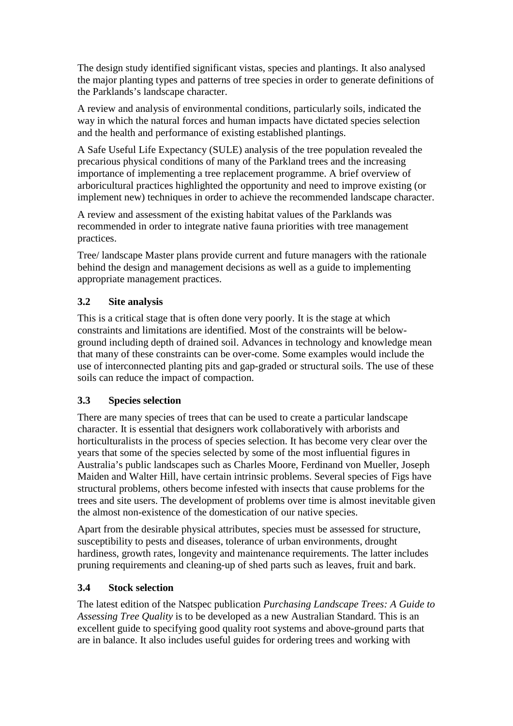The design study identified significant vistas, species and plantings. It also analysed the major planting types and patterns of tree species in order to generate definitions of the Parklands's landscape character.

A review and analysis of environmental conditions, particularly soils, indicated the way in which the natural forces and human impacts have dictated species selection and the health and performance of existing established plantings.

A Safe Useful Life Expectancy (SULE) analysis of the tree population revealed the precarious physical conditions of many of the Parkland trees and the increasing importance of implementing a tree replacement programme. A brief overview of arboricultural practices highlighted the opportunity and need to improve existing (or implement new) techniques in order to achieve the recommended landscape character.

A review and assessment of the existing habitat values of the Parklands was recommended in order to integrate native fauna priorities with tree management practices.

Tree/ landscape Master plans provide current and future managers with the rationale behind the design and management decisions as well as a guide to implementing appropriate management practices.

### **3.2 Site analysis**

This is a critical stage that is often done very poorly. It is the stage at which constraints and limitations are identified. Most of the constraints will be belowground including depth of drained soil. Advances in technology and knowledge mean that many of these constraints can be over-come. Some examples would include the use of interconnected planting pits and gap-graded or structural soils. The use of these soils can reduce the impact of compaction.

#### **3.3 Species selection**

There are many species of trees that can be used to create a particular landscape character. It is essential that designers work collaboratively with arborists and horticulturalists in the process of species selection. It has become very clear over the years that some of the species selected by some of the most influential figures in Australia's public landscapes such as Charles Moore, Ferdinand von Mueller, Joseph Maiden and Walter Hill, have certain intrinsic problems. Several species of Figs have structural problems, others become infested with insects that cause problems for the trees and site users. The development of problems over time is almost inevitable given the almost non-existence of the domestication of our native species.

Apart from the desirable physical attributes, species must be assessed for structure, susceptibility to pests and diseases, tolerance of urban environments, drought hardiness, growth rates, longevity and maintenance requirements. The latter includes pruning requirements and cleaning-up of shed parts such as leaves, fruit and bark.

#### **3.4 Stock selection**

The latest edition of the Natspec publication *Purchasing Landscape Trees: A Guide to Assessing Tree Quality* is to be developed as a new Australian Standard. This is an excellent guide to specifying good quality root systems and above-ground parts that are in balance. It also includes useful guides for ordering trees and working with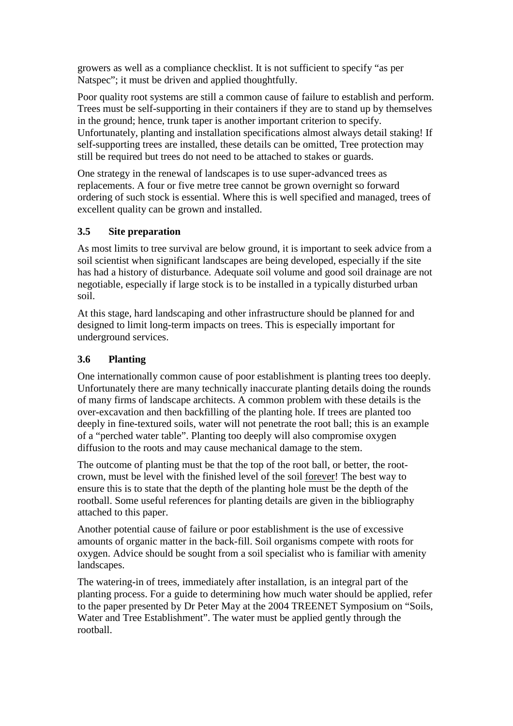growers as well as a compliance checklist. It is not sufficient to specify "as per Natspec"; it must be driven and applied thoughtfully.

Poor quality root systems are still a common cause of failure to establish and perform. Trees must be self-supporting in their containers if they are to stand up by themselves in the ground; hence, trunk taper is another important criterion to specify. Unfortunately, planting and installation specifications almost always detail staking! If self-supporting trees are installed, these details can be omitted, Tree protection may still be required but trees do not need to be attached to stakes or guards.

One strategy in the renewal of landscapes is to use super-advanced trees as replacements. A four or five metre tree cannot be grown overnight so forward ordering of such stock is essential. Where this is well specified and managed, trees of excellent quality can be grown and installed.

## **3.5 Site preparation**

As most limits to tree survival are below ground, it is important to seek advice from a soil scientist when significant landscapes are being developed, especially if the site has had a history of disturbance. Adequate soil volume and good soil drainage are not negotiable, especially if large stock is to be installed in a typically disturbed urban soil.

At this stage, hard landscaping and other infrastructure should be planned for and designed to limit long-term impacts on trees. This is especially important for underground services.

## **3.6 Planting**

One internationally common cause of poor establishment is planting trees too deeply. Unfortunately there are many technically inaccurate planting details doing the rounds of many firms of landscape architects. A common problem with these details is the over-excavation and then backfilling of the planting hole. If trees are planted too deeply in fine-textured soils, water will not penetrate the root ball; this is an example of a "perched water table". Planting too deeply will also compromise oxygen diffusion to the roots and may cause mechanical damage to the stem.

The outcome of planting must be that the top of the root ball, or better, the rootcrown, must be level with the finished level of the soil forever! The best way to ensure this is to state that the depth of the planting hole must be the depth of the rootball. Some useful references for planting details are given in the bibliography attached to this paper.

Another potential cause of failure or poor establishment is the use of excessive amounts of organic matter in the back-fill. Soil organisms compete with roots for oxygen. Advice should be sought from a soil specialist who is familiar with amenity landscapes.

The watering-in of trees, immediately after installation, is an integral part of the planting process. For a guide to determining how much water should be applied, refer to the paper presented by Dr Peter May at the 2004 TREENET Symposium on "Soils, Water and Tree Establishment". The water must be applied gently through the rootball.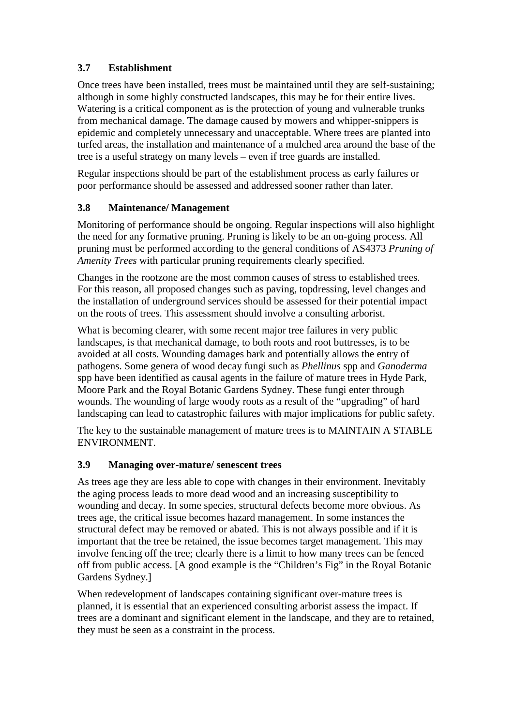## **3.7 Establishment**

Once trees have been installed, trees must be maintained until they are self-sustaining; although in some highly constructed landscapes, this may be for their entire lives. Watering is a critical component as is the protection of young and vulnerable trunks from mechanical damage. The damage caused by mowers and whipper-snippers is epidemic and completely unnecessary and unacceptable. Where trees are planted into turfed areas, the installation and maintenance of a mulched area around the base of the tree is a useful strategy on many levels – even if tree guards are installed.

Regular inspections should be part of the establishment process as early failures or poor performance should be assessed and addressed sooner rather than later.

### **3.8 Maintenance/ Management**

Monitoring of performance should be ongoing. Regular inspections will also highlight the need for any formative pruning. Pruning is likely to be an on-going process. All pruning must be performed according to the general conditions of AS4373 *Pruning of Amenity Trees* with particular pruning requirements clearly specified.

Changes in the rootzone are the most common causes of stress to established trees. For this reason, all proposed changes such as paving, topdressing, level changes and the installation of underground services should be assessed for their potential impact on the roots of trees. This assessment should involve a consulting arborist.

What is becoming clearer, with some recent major tree failures in very public landscapes, is that mechanical damage, to both roots and root buttresses, is to be avoided at all costs. Wounding damages bark and potentially allows the entry of pathogens. Some genera of wood decay fungi such as *Phellinus* spp and *Ganoderma* spp have been identified as causal agents in the failure of mature trees in Hyde Park, Moore Park and the Royal Botanic Gardens Sydney. These fungi enter through wounds. The wounding of large woody roots as a result of the "upgrading" of hard landscaping can lead to catastrophic failures with major implications for public safety.

The key to the sustainable management of mature trees is to MAINTAIN A STABLE ENVIRONMENT.

#### **3.9 Managing over-mature/ senescent trees**

As trees age they are less able to cope with changes in their environment. Inevitably the aging process leads to more dead wood and an increasing susceptibility to wounding and decay. In some species, structural defects become more obvious. As trees age, the critical issue becomes hazard management. In some instances the structural defect may be removed or abated. This is not always possible and if it is important that the tree be retained, the issue becomes target management. This may involve fencing off the tree; clearly there is a limit to how many trees can be fenced off from public access. [A good example is the "Children's Fig" in the Royal Botanic Gardens Sydney.]

When redevelopment of landscapes containing significant over-mature trees is planned, it is essential that an experienced consulting arborist assess the impact. If trees are a dominant and significant element in the landscape, and they are to retained, they must be seen as a constraint in the process.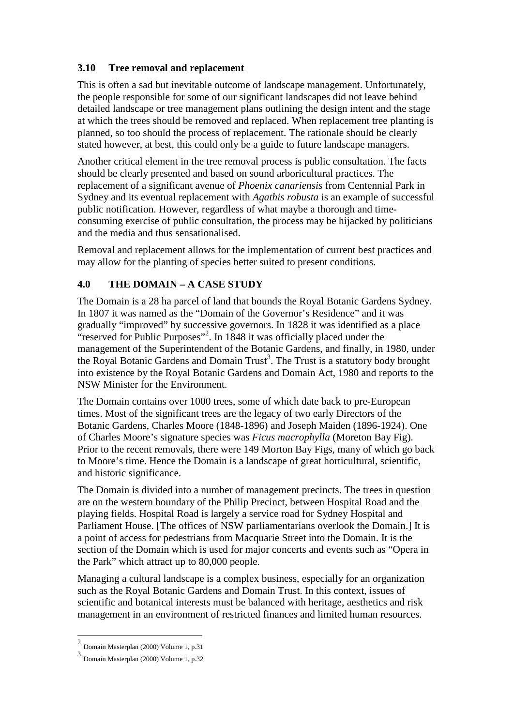#### **3.10 Tree removal and replacement**

This is often a sad but inevitable outcome of landscape management. Unfortunately, the people responsible for some of our significant landscapes did not leave behind detailed landscape or tree management plans outlining the design intent and the stage at which the trees should be removed and replaced. When replacement tree planting is planned, so too should the process of replacement. The rationale should be clearly stated however, at best, this could only be a guide to future landscape managers.

Another critical element in the tree removal process is public consultation. The facts should be clearly presented and based on sound arboricultural practices. The replacement of a significant avenue of *Phoenix canariensis* from Centennial Park in Sydney and its eventual replacement with *Agathis robusta* is an example of successful public notification. However, regardless of what maybe a thorough and timeconsuming exercise of public consultation, the process may be hijacked by politicians and the media and thus sensationalised.

Removal and replacement allows for the implementation of current best practices and may allow for the planting of species better suited to present conditions.

## **4.0 THE DOMAIN – A CASE STUDY**

The Domain is a 28 ha parcel of land that bounds the Royal Botanic Gardens Sydney. In 1807 it was named as the "Domain of the Governor's Residence" and it was gradually "improved" by successive governors. In 1828 it was identified as a place "reserved for Public Purposes"<sup>2</sup>. In 1848 it was officially placed under the management of the Superintendent of the Botanic Gardens, and finally, in 1980, under the Royal Botanic Gardens and Domain Trust<sup>3</sup>. The Trust is a statutory body brought into existence by the Royal Botanic Gardens and Domain Act, 1980 and reports to the NSW Minister for the Environment.

The Domain contains over 1000 trees, some of which date back to pre-European times. Most of the significant trees are the legacy of two early Directors of the Botanic Gardens, Charles Moore (1848-1896) and Joseph Maiden (1896-1924). One of Charles Moore's signature species was *Ficus macrophylla* (Moreton Bay Fig). Prior to the recent removals, there were 149 Morton Bay Figs, many of which go back to Moore's time. Hence the Domain is a landscape of great horticultural, scientific, and historic significance.

The Domain is divided into a number of management precincts. The trees in question are on the western boundary of the Philip Precinct, between Hospital Road and the playing fields. Hospital Road is largely a service road for Sydney Hospital and Parliament House. [The offices of NSW parliamentarians overlook the Domain.] It is a point of access for pedestrians from Macquarie Street into the Domain. It is the section of the Domain which is used for major concerts and events such as "Opera in the Park" which attract up to 80,000 people.

Managing a cultural landscape is a complex business, especially for an organization such as the Royal Botanic Gardens and Domain Trust. In this context, issues of scientific and botanical interests must be balanced with heritage, aesthetics and risk management in an environment of restricted finances and limited human resources.

 2 Domain Masterplan (2000) Volume 1, p.31

<sup>3</sup> Domain Masterplan (2000) Volume 1, p.32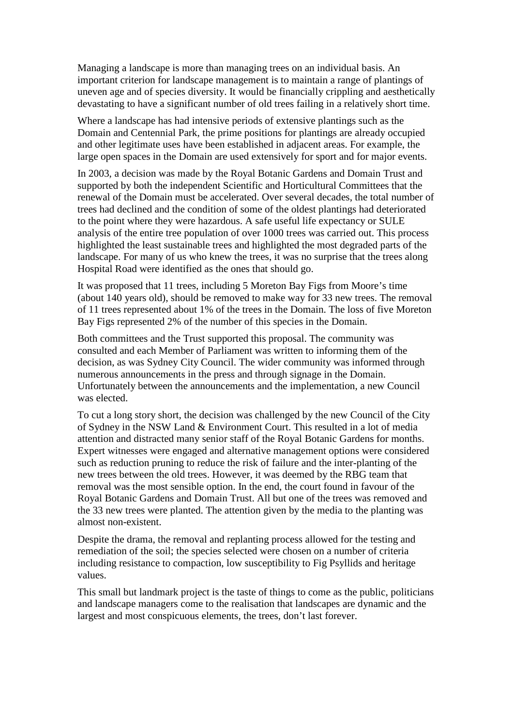Managing a landscape is more than managing trees on an individual basis. An important criterion for landscape management is to maintain a range of plantings of uneven age and of species diversity. It would be financially crippling and aesthetically devastating to have a significant number of old trees failing in a relatively short time.

Where a landscape has had intensive periods of extensive plantings such as the Domain and Centennial Park, the prime positions for plantings are already occupied and other legitimate uses have been established in adjacent areas. For example, the large open spaces in the Domain are used extensively for sport and for major events.

In 2003, a decision was made by the Royal Botanic Gardens and Domain Trust and supported by both the independent Scientific and Horticultural Committees that the renewal of the Domain must be accelerated. Over several decades, the total number of trees had declined and the condition of some of the oldest plantings had deteriorated to the point where they were hazardous. A safe useful life expectancy or SULE analysis of the entire tree population of over 1000 trees was carried out. This process highlighted the least sustainable trees and highlighted the most degraded parts of the landscape. For many of us who knew the trees, it was no surprise that the trees along Hospital Road were identified as the ones that should go.

It was proposed that 11 trees, including 5 Moreton Bay Figs from Moore's time (about 140 years old), should be removed to make way for 33 new trees. The removal of 11 trees represented about 1% of the trees in the Domain. The loss of five Moreton Bay Figs represented 2% of the number of this species in the Domain.

Both committees and the Trust supported this proposal. The community was consulted and each Member of Parliament was written to informing them of the decision, as was Sydney City Council. The wider community was informed through numerous announcements in the press and through signage in the Domain. Unfortunately between the announcements and the implementation, a new Council was elected.

To cut a long story short, the decision was challenged by the new Council of the City of Sydney in the NSW Land & Environment Court. This resulted in a lot of media attention and distracted many senior staff of the Royal Botanic Gardens for months. Expert witnesses were engaged and alternative management options were considered such as reduction pruning to reduce the risk of failure and the inter-planting of the new trees between the old trees. However, it was deemed by the RBG team that removal was the most sensible option. In the end, the court found in favour of the Royal Botanic Gardens and Domain Trust. All but one of the trees was removed and the 33 new trees were planted. The attention given by the media to the planting was almost non-existent.

Despite the drama, the removal and replanting process allowed for the testing and remediation of the soil; the species selected were chosen on a number of criteria including resistance to compaction, low susceptibility to Fig Psyllids and heritage values.

This small but landmark project is the taste of things to come as the public, politicians and landscape managers come to the realisation that landscapes are dynamic and the largest and most conspicuous elements, the trees, don't last forever.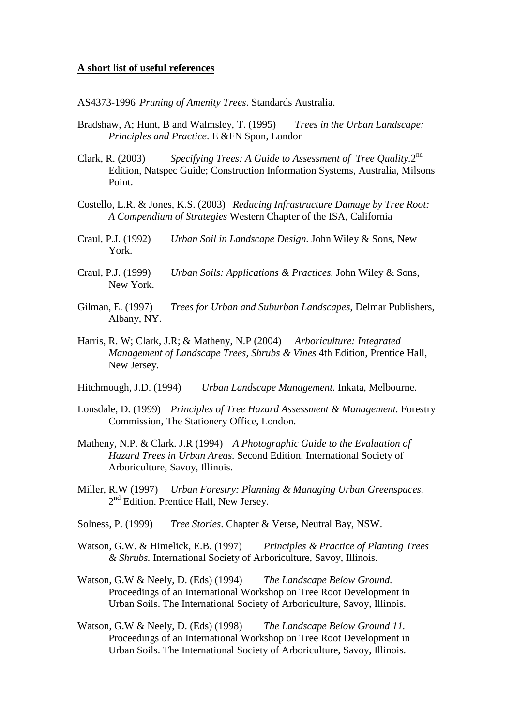#### **A short list of useful references**

AS4373-1996 *Pruning of Amenity Trees*. Standards Australia.

- Bradshaw, A; Hunt, B and Walmsley, T. (1995) *Trees in the Urban Landscape: Principles and Practice*. E &FN Spon, London
- Clark, R. (2003) Specifying Trees: A Guide to Assessment of Tree Quality.2<sup>nd</sup> Edition, Natspec Guide; Construction Information Systems, Australia, Milsons Point.
- Costello, L.R. & Jones, K.S. (2003) *Reducing Infrastructure Damage by Tree Root: A Compendium of Strategies* Western Chapter of the ISA, California
- Craul, P.J. (1992) *Urban Soil in Landscape Design.* John Wiley & Sons, New York.
- Craul, P.J. (1999) *Urban Soils: Applications & Practices.* John Wiley & Sons, New York.
- Gilman, E. (1997) *Trees for Urban and Suburban Landscapes*, Delmar Publishers, Albany, NY.
- Harris, R. W; Clark, J.R; & Matheny, N.P (2004) *Arboriculture: Integrated Management of Landscape Trees, Shrubs & Vines* 4th Edition, Prentice Hall, New Jersey.
- Hitchmough, J.D. (1994) *Urban Landscape Management.* Inkata, Melbourne.
- Lonsdale, D. (1999) *Principles of Tree Hazard Assessment & Management.* Forestry Commission, The Stationery Office, London.
- Matheny, N.P. & Clark. J.R (1994) *A Photographic Guide to the Evaluation of Hazard Trees in Urban Areas.* Second Edition. International Society of Arboriculture, Savoy, Illinois.
- Miller, R.W (1997) *Urban Forestry: Planning & Managing Urban Greenspaces.*  2<sup>nd</sup> Edition. Prentice Hall, New Jersey.
- Solness, P. (1999) *Tree Stories*. Chapter & Verse, Neutral Bay, NSW.
- Watson, G.W. & Himelick, E.B. (1997) *Principles & Practice of Planting Trees & Shrubs.* International Society of Arboriculture, Savoy, Illinois.
- Watson, G.W & Neely, D. (Eds) (1994) *The Landscape Below Ground.*  Proceedings of an International Workshop on Tree Root Development in Urban Soils. The International Society of Arboriculture, Savoy, Illinois.
- Watson, G.W & Neely, D. (Eds) (1998) *The Landscape Below Ground 11.*  Proceedings of an International Workshop on Tree Root Development in Urban Soils. The International Society of Arboriculture, Savoy, Illinois.